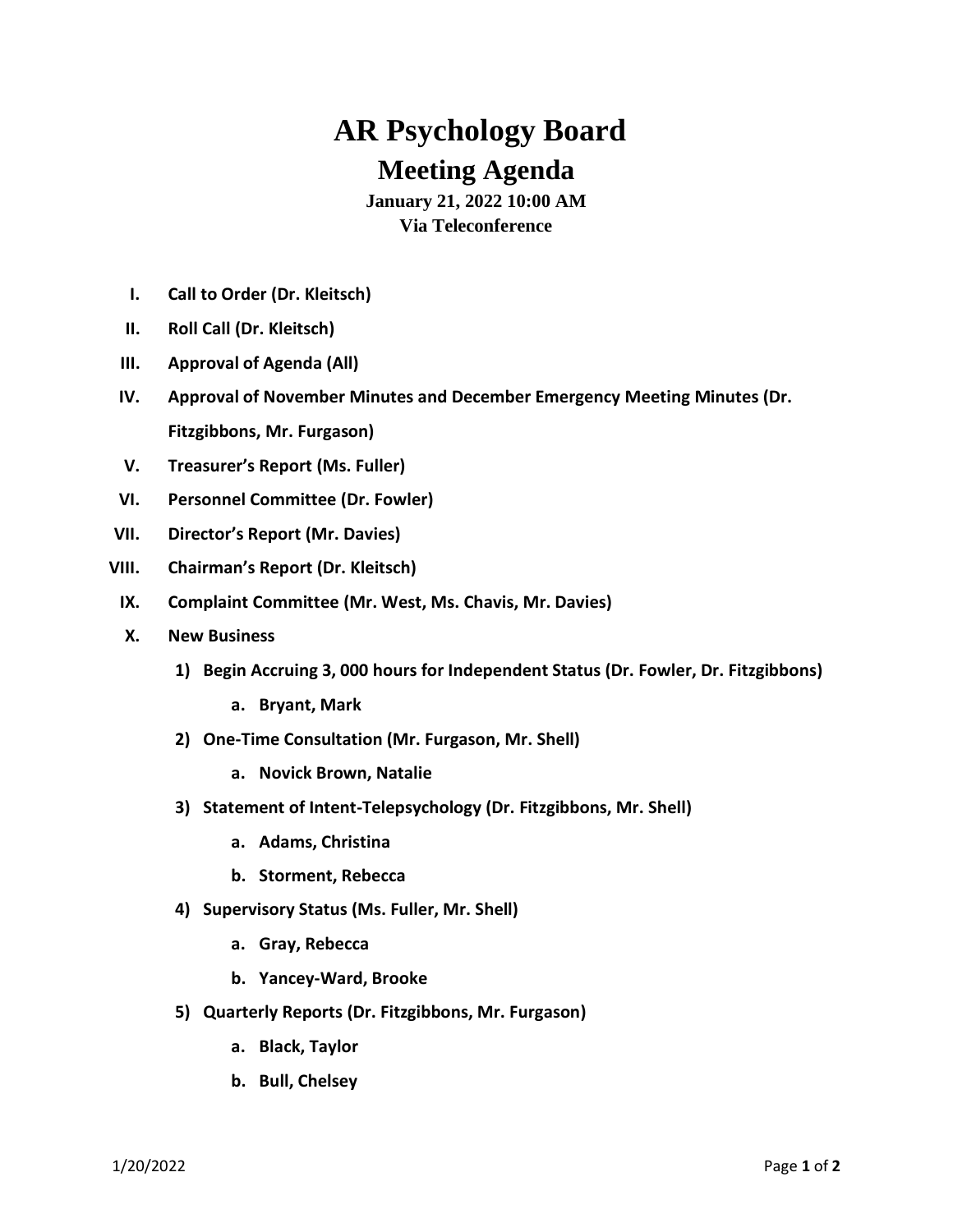## **AR Psychology Board Meeting Agenda**

**January 21, 2022 10:00 AM Via Teleconference**

- **I. Call to Order (Dr. Kleitsch)**
- **II. Roll Call (Dr. Kleitsch)**
- **III. Approval of Agenda (All)**
- **IV. Approval of November Minutes and December Emergency Meeting Minutes (Dr. Fitzgibbons, Mr. Furgason)**
- **V. Treasurer's Report (Ms. Fuller)**
- **VI. Personnel Committee (Dr. Fowler)**
- **VII. Director's Report (Mr. Davies)**
- **VIII. Chairman's Report (Dr. Kleitsch)**
- **IX. Complaint Committee (Mr. West, Ms. Chavis, Mr. Davies)**
- **X. New Business**
	- **1) Begin Accruing 3, 000 hours for Independent Status (Dr. Fowler, Dr. Fitzgibbons)**
		- **a. Bryant, Mark**
	- **2) One-Time Consultation (Mr. Furgason, Mr. Shell)**
		- **a. Novick Brown, Natalie**
	- **3) Statement of Intent-Telepsychology (Dr. Fitzgibbons, Mr. Shell)**
		- **a. Adams, Christina**
		- **b. Storment, Rebecca**
	- **4) Supervisory Status (Ms. Fuller, Mr. Shell)**
		- **a. Gray, Rebecca**
		- **b. Yancey-Ward, Brooke**
	- **5) Quarterly Reports (Dr. Fitzgibbons, Mr. Furgason)**
		- **a. Black, Taylor**
		- **b. Bull, Chelsey**